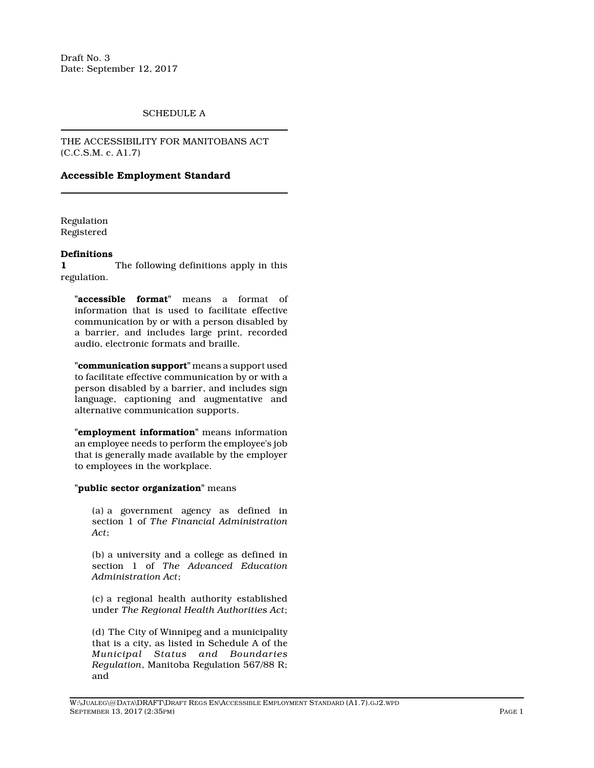Draft No. 3 Date: September 12, 2017

# SCHEDULE A

THE ACCESSIBILITY FOR MANITOBANS ACT (C.C.S.M. c. A1.7)

# **Accessible Employment Standard**

Regulation Registered

#### **Definitions**

**1** The following definitions apply in this regulation.

**"accessible format"** means a format of information that is used to facilitate effective communication by or with a person disabled by a barrier, and includes large print, recorded audio, electronic formats and braille.

**"communication support"** means a support used to facilitate effective communication by or with a person disabled by a barrier, and includes sign language, captioning and augmentative and alternative communication supports.

**"employment information"** means information an employee needs to perform the employee's job that is generally made available by the employer to employees in the workplace.

### **"public sector organization"** means

(a) a government agency as defined in section 1 of *The Financial Administration Act*;

(b) a university and a college as defined in section 1 of *The Advanced Education Administration Act*;

(c) a regional health authority established under *The Regional Health Authorities Act*;

(d) The City of Winnipeg and a municipality that is a city, as listed in Schedule A of the *Municipal Status and Boundaries Regulation*, Manitoba Regulation 567/88 R; and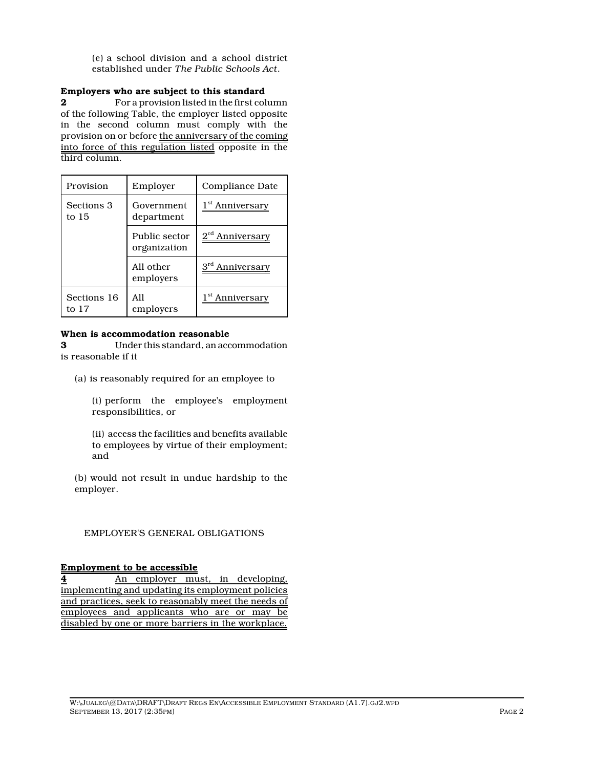(e) a school division and a school district established under *The Public Schools Act*.

# **Employers who are subject to this standard**

**2** For a provision listed in the first column of the following Table, the employer listed opposite in the second column must comply with the provision on or before the anniversary of the coming into force of this regulation listed opposite in the third column.

| Provision            | Employer                      | Compliance Date             |
|----------------------|-------------------------------|-----------------------------|
| Sections 3<br>to 15  | Government<br>department      | 1 <sup>st</sup> Anniversary |
|                      | Public sector<br>organization | 2 <sup>cd</sup> Anniversary |
|                      | All other<br>employers        | 3 <sup>rd</sup> Anniversary |
| Sections 16<br>to 17 | All<br>employers              | Anniversary                 |

### **When is accommodation reasonable**

**3** Under this standard, an accommodation is reasonable if it

(a) is reasonably required for an employee to

(i) perform the employee's employment responsibilities, or

(ii) access the facilities and benefits available to employees by virtue of their employment; and

(b) would not result in undue hardship to the employer.

# EMPLOYER'S GENERAL OBLIGATIONS

### **Employment to be accessible**

**4** An employer must, in developing, implementing and updating its employment policies and practices, seek to reasonably meet the needs of employees and applicants who are or may be disabled by one or more barriers in the workplace.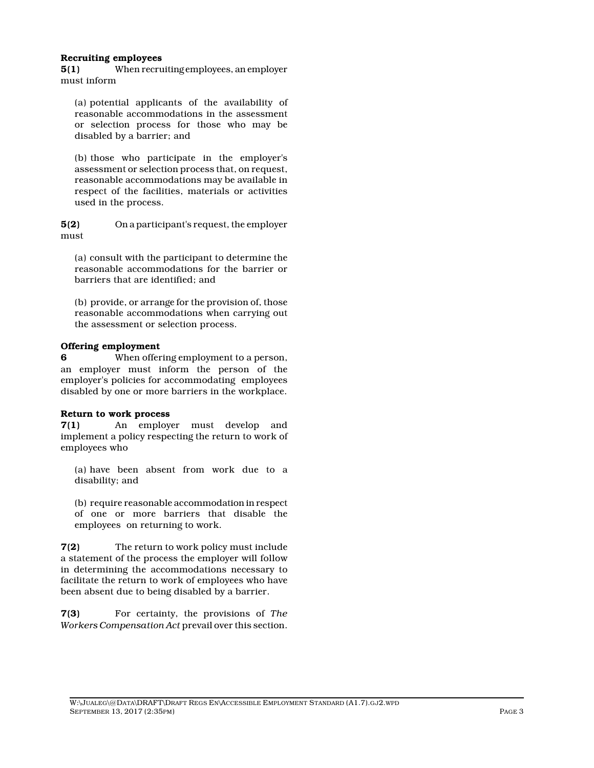### **Recruiting employees**

**5(1)** When recruiting employees, an employer must inform

(a) potential applicants of the availability of reasonable accommodations in the assessment or selection process for those who may be disabled by a barrier; and

(b) those who participate in the employer's assessment or selection process that, on request, reasonable accommodations may be available in respect of the facilities, materials or activities used in the process.

**5(2)** On a participant's request, the employer must

(a) consult with the participant to determine the reasonable accommodations for the barrier or barriers that are identified; and

(b) provide, or arrange for the provision of, those reasonable accommodations when carrying out the assessment or selection process.

# **Offering employment**

**6** When offering employment to a person, an employer must inform the person of the employer's policies for accommodating employees disabled by one or more barriers in the workplace.

### **Return to work process**

**7(1)** An employer must develop and implement a policy respecting the return to work of employees who

(a) have been absent from work due to a disability; and

(b) require reasonable accommodation in respect of one or more barriers that disable the employees on returning to work.

**7(2)** The return to work policy must include a statement of the process the employer will follow in determining the accommodations necessary to facilitate the return to work of employees who have been absent due to being disabled by a barrier.

**7(3)** For certainty, the provisions of *The Workers Compensation Act* prevail over this section.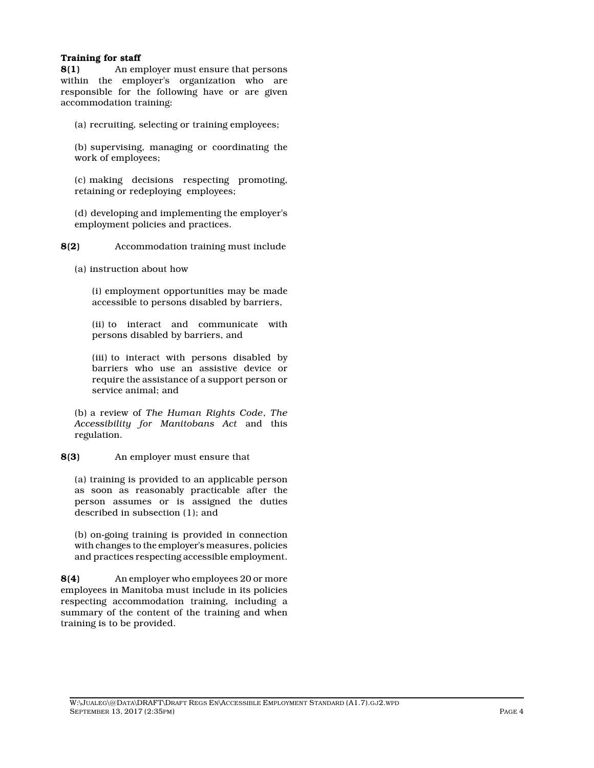# **Training for staff**

**8(1)** An employer must ensure that persons within the employer's organization who are responsible for the following have or are given accommodation training:

(a) recruiting, selecting or training employees;

(b) supervising, managing or coordinating the work of employees;

(c) making decisions respecting promoting, retaining or redeploying employees;

(d) developing and implementing the employer's employment policies and practices.

**8(2)** Accommodation training must include

(a) instruction about how

(i) employment opportunities may be made accessible to persons disabled by barriers,

(ii) to interact and communicate with persons disabled by barriers, and

(iii) to interact with persons disabled by barriers who use an assistive device or require the assistance of a support person or service animal; and

(b) a review of *The Human Rights Code*, *The Accessibility for Manitobans Act* and this regulation.

**8(3)** An employer must ensure that

(a) training is provided to an applicable person as soon as reasonably practicable after the person assumes or is assigned the duties described in subsection (1); and

(b) on-going training is provided in connection with changes to the employer's measures, policies and practices respecting accessible employment.

**8(4)** An employer who employees 20 or more employees in Manitoba must include in its policies respecting accommodation training, including a summary of the content of the training and when training is to be provided.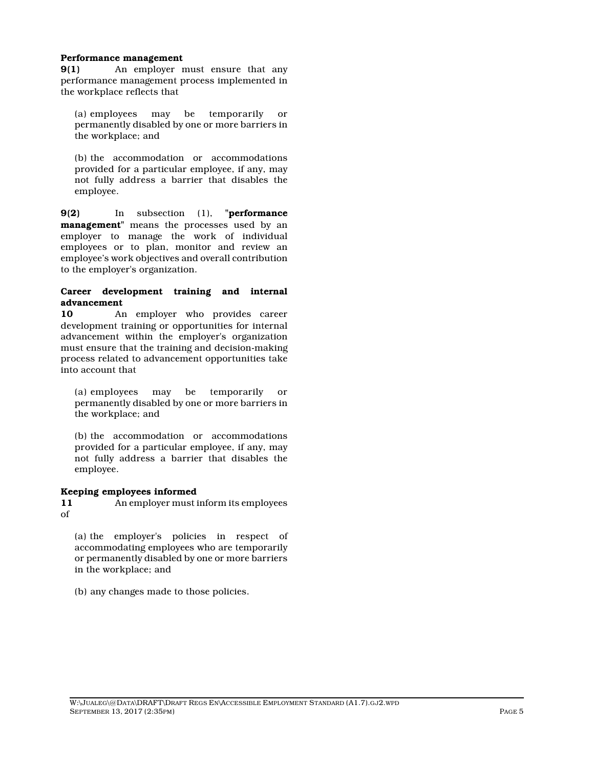#### **Performance management**

**9(1)** An employer must ensure that any performance management process implemented in the workplace reflects that

(a) employees may be temporarily or permanently disabled by one or more barriers in the workplace; and

(b) the accommodation or accommodations provided for a particular employee, if any, may not fully address a barrier that disables the employee.

**9(2)** In subsection (1), **"performance management"** means the processes used by an employer to manage the work of individual employees or to plan, monitor and review an employee's work objectives and overall contribution to the employer's organization.

### **Career development training and internal advancement**

**10** An employer who provides career development training or opportunities for internal advancement within the employer's organization must ensure that the training and decision-making process related to advancement opportunities take into account that

(a) employees may be temporarily or permanently disabled by one or more barriers in the workplace; and

(b) the accommodation or accommodations provided for a particular employee, if any, may not fully address a barrier that disables the employee.

### **Keeping employees informed**

**11** An employer must inform its employees of

(a) the employer's policies in respect of accommodating employees who are temporarily or permanently disabled by one or more barriers in the workplace; and

(b) any changes made to those policies.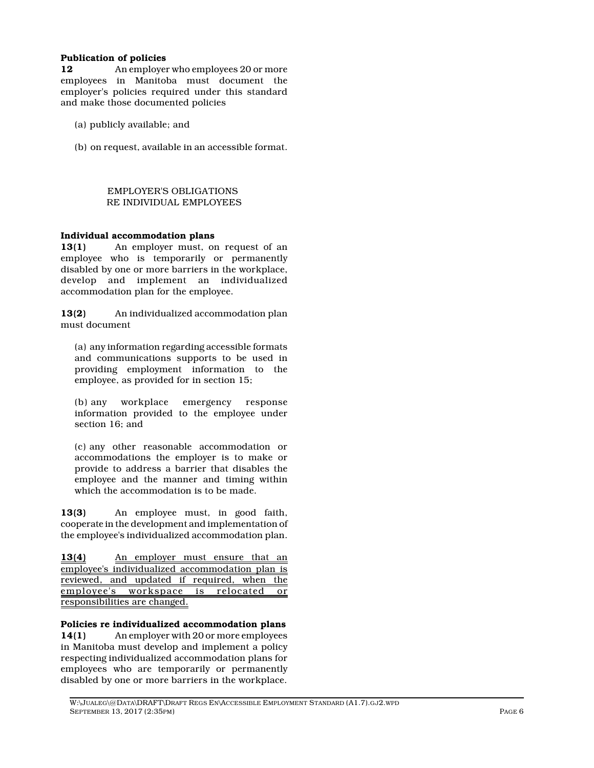### **Publication of policies**

**12** An employer who employees 20 or more employees in Manitoba must document the employer's policies required under this standard and make those documented policies

- (a) publicly available; and
- (b) on request, available in an accessible format.

### EMPLOYER'S OBLIGATIONS RE INDIVIDUAL EMPLOYEES

### **Individual accommodation plans**

**13(1)** An employer must, on request of an employee who is temporarily or permanently disabled by one or more barriers in the workplace, develop and implement an individualized accommodation plan for the employee.

**13(2)** An individualized accommodation plan must document

(a) any information regarding accessible formats and communications supports to be used in providing employment information to the employee, as provided for in section 15;

(b) any workplace emergency response information provided to the employee under section 16; and

(c) any other reasonable accommodation or accommodations the employer is to make or provide to address a barrier that disables the employee and the manner and timing within which the accommodation is to be made.

**13(3)** An employee must, in good faith, cooperate in the development and implementation of the employee's individualized accommodation plan.

**13(4)** An employer must ensure that an employee's individualized accommodation plan is reviewed, and updated if required, when the employee's workspace is relocated or responsibilities are changed.

**Policies re individualized accommodation plans**

**14(1)** An employer with 20 or more employees in Manitoba must develop and implement a policy respecting individualized accommodation plans for employees who are temporarily or permanently disabled by one or more barriers in the workplace.

W:\JUALEG\@DATA\DRAFT\DRAFT REGS EN\ACCESSIBLE EMPLOYMENT STANDARD (A1.7).GJ2.WPD SEPTEMBER 13, 2017 (2:35PM) PAGE 6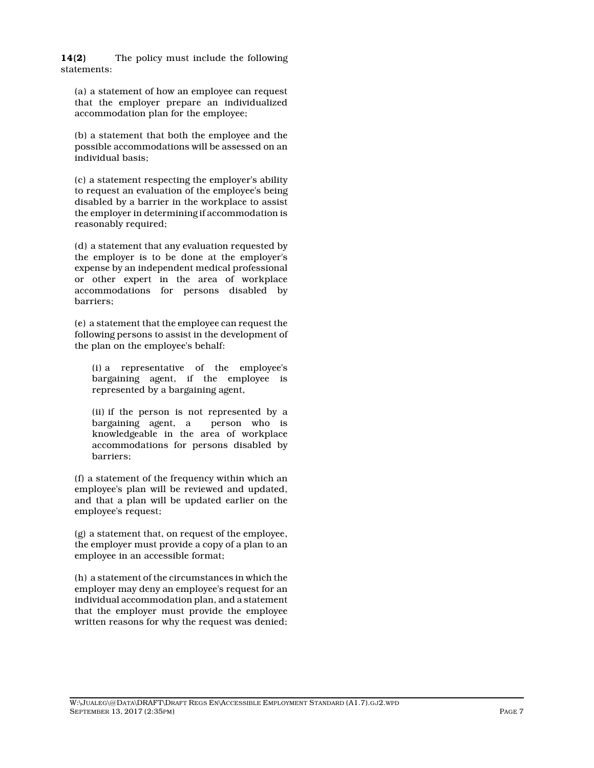**14(2)** The policy must include the following statements:

(a) a statement of how an employee can request that the employer prepare an individualized accommodation plan for the employee;

(b) a statement that both the employee and the possible accommodations will be assessed on an individual basis;

(c) a statement respecting the employer's ability to request an evaluation of the employee's being disabled by a barrier in the workplace to assist the employer in determining if accommodation is reasonably required;

(d) a statement that any evaluation requested by the employer is to be done at the employer's expense by an independent medical professional or other expert in the area of workplace accommodations for persons disabled by barriers;

(e) a statement that the employee can request the following persons to assist in the development of the plan on the employee's behalf:

(i) a representative of the employee's bargaining agent, if the employee is represented by a bargaining agent,

(ii) if the person is not represented by a bargaining agent, a person who is knowledgeable in the area of workplace accommodations for persons disabled by barriers;

(f) a statement of the frequency within which an employee's plan will be reviewed and updated, and that a plan will be updated earlier on the employee's request;

(g) a statement that, on request of the employee, the employer must provide a copy of a plan to an employee in an accessible format;

(h) a statement of the circumstances in which the employer may deny an employee's request for an individual accommodation plan, and a statement that the employer must provide the employee written reasons for why the request was denied;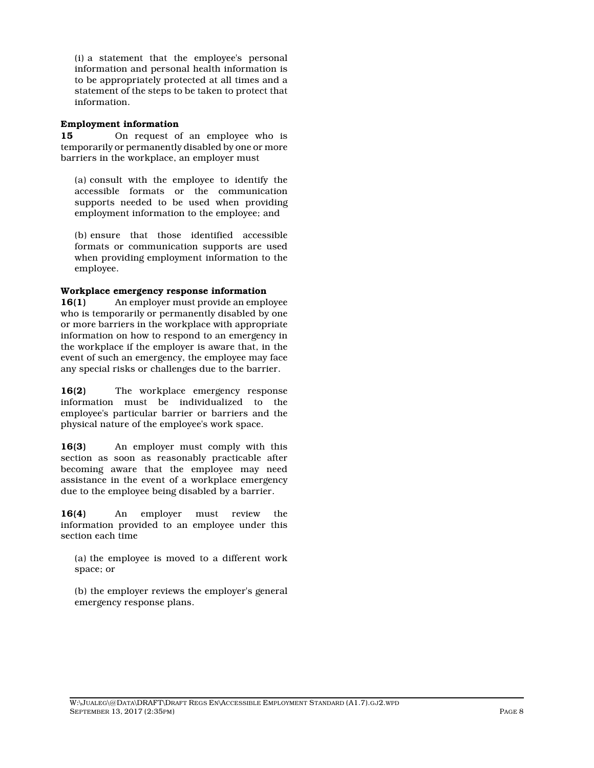(i) a statement that the employee's personal information and personal health information is to be appropriately protected at all times and a statement of the steps to be taken to protect that information.

### **Employment information**

**15** On request of an employee who is temporarily or permanently disabled by one or more barriers in the workplace, an employer must

(a) consult with the employee to identify the accessible formats or the communication supports needed to be used when providing employment information to the employee; and

(b) ensure that those identified accessible formats or communication supports are used when providing employment information to the employee.

### **Workplace emergency response information**

**16(1)** An employer must provide an employee who is temporarily or permanently disabled by one or more barriers in the workplace with appropriate information on how to respond to an emergency in the workplace if the employer is aware that, in the event of such an emergency, the employee may face any special risks or challenges due to the barrier.

**16(2)** The workplace emergency response information must be individualized to the employee's particular barrier or barriers and the physical nature of the employee's work space.

**16(3)** An employer must comply with this section as soon as reasonably practicable after becoming aware that the employee may need assistance in the event of a workplace emergency due to the employee being disabled by a barrier.

**16(4)** An employer must review the information provided to an employee under this section each time

(a) the employee is moved to a different work space; or

(b) the employer reviews the employer's general emergency response plans.